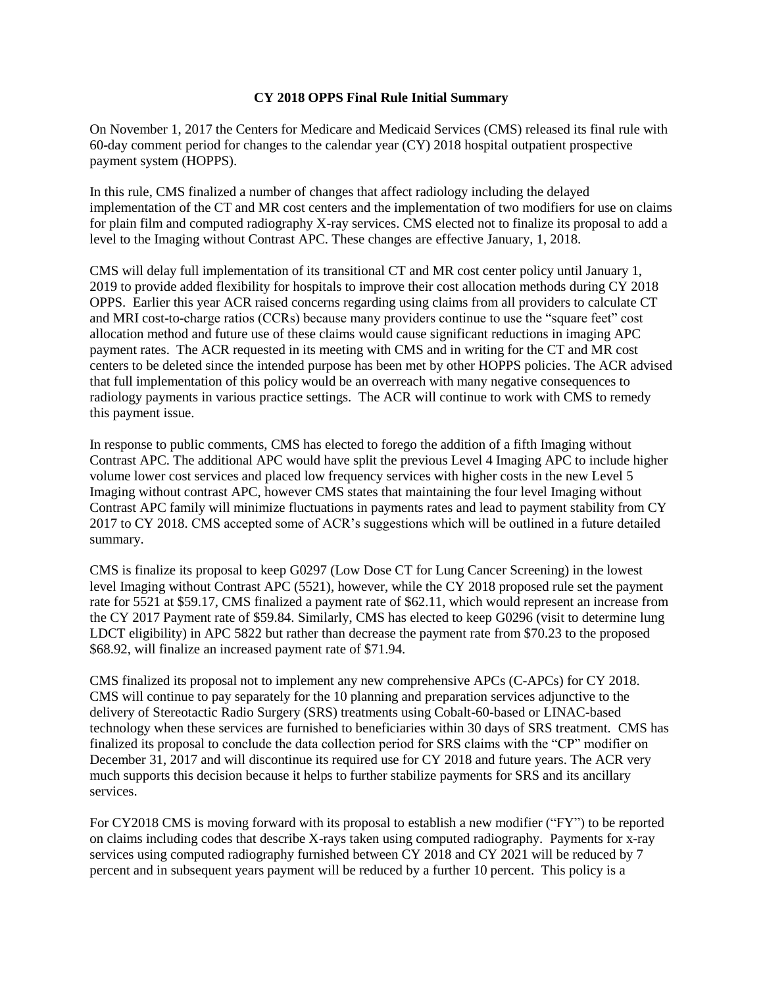## **CY 2018 OPPS Final Rule Initial Summary**

On November 1, 2017 the Centers for Medicare and Medicaid Services (CMS) released its final rule with 60-day comment period for changes to the calendar year (CY) 2018 hospital outpatient prospective payment system (HOPPS).

In this rule, CMS finalized a number of changes that affect radiology including the delayed implementation of the CT and MR cost centers and the implementation of two modifiers for use on claims for plain film and computed radiography X-ray services. CMS elected not to finalize its proposal to add a level to the Imaging without Contrast APC. These changes are effective January, 1, 2018.

CMS will delay full implementation of its transitional CT and MR cost center policy until January 1, 2019 to provide added flexibility for hospitals to improve their cost allocation methods during CY 2018 OPPS. Earlier this year ACR raised concerns regarding using claims from all providers to calculate CT and MRI cost-to-charge ratios (CCRs) because many providers continue to use the "square feet" cost allocation method and future use of these claims would cause significant reductions in imaging APC payment rates. The ACR requested in its meeting with CMS and in writing for the CT and MR cost centers to be deleted since the intended purpose has been met by other HOPPS policies. The ACR advised that full implementation of this policy would be an overreach with many negative consequences to radiology payments in various practice settings. The ACR will continue to work with CMS to remedy this payment issue.

In response to public comments, CMS has elected to forego the addition of a fifth Imaging without Contrast APC. The additional APC would have split the previous Level 4 Imaging APC to include higher volume lower cost services and placed low frequency services with higher costs in the new Level 5 Imaging without contrast APC, however CMS states that maintaining the four level Imaging without Contrast APC family will minimize fluctuations in payments rates and lead to payment stability from CY 2017 to CY 2018. CMS accepted some of ACR's suggestions which will be outlined in a future detailed summary.

CMS is finalize its proposal to keep G0297 (Low Dose CT for Lung Cancer Screening) in the lowest level Imaging without Contrast APC (5521), however, while the CY 2018 proposed rule set the payment rate for 5521 at \$59.17, CMS finalized a payment rate of \$62.11, which would represent an increase from the CY 2017 Payment rate of \$59.84. Similarly, CMS has elected to keep G0296 (visit to determine lung LDCT eligibility) in APC 5822 but rather than decrease the payment rate from \$70.23 to the proposed \$68.92, will finalize an increased payment rate of \$71.94.

CMS finalized its proposal not to implement any new comprehensive APCs (C-APCs) for CY 2018. CMS will continue to pay separately for the 10 planning and preparation services adjunctive to the delivery of Stereotactic Radio Surgery (SRS) treatments using Cobalt-60-based or LINAC-based technology when these services are furnished to beneficiaries within 30 days of SRS treatment. CMS has finalized its proposal to conclude the data collection period for SRS claims with the "CP" modifier on December 31, 2017 and will discontinue its required use for CY 2018 and future years. The ACR very much supports this decision because it helps to further stabilize payments for SRS and its ancillary services.

For CY2018 CMS is moving forward with its proposal to establish a new modifier ("FY") to be reported on claims including codes that describe X-rays taken using computed radiography. Payments for x-ray services using computed radiography furnished between CY 2018 and CY 2021 will be reduced by 7 percent and in subsequent years payment will be reduced by a further 10 percent. This policy is a